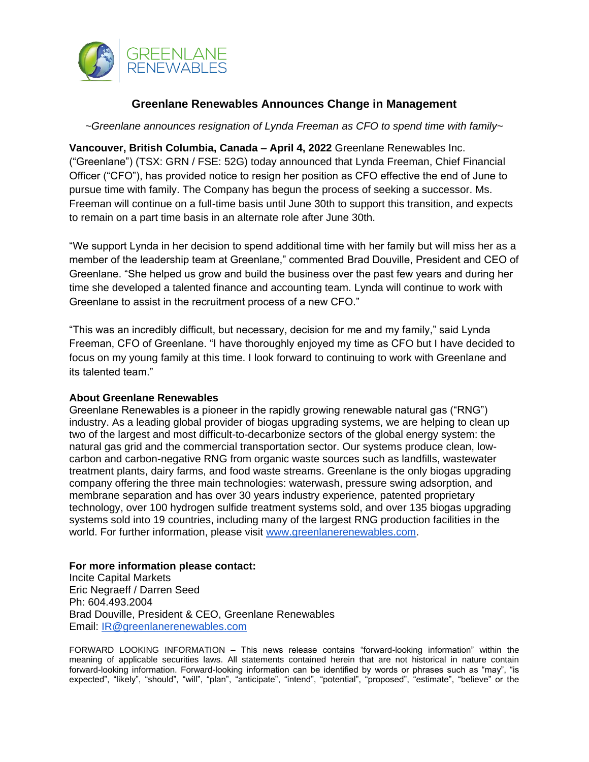

## **Greenlane Renewables Announces Change in Management**

*~Greenlane announces resignation of Lynda Freeman as CFO to spend time with family~*

**Vancouver, British Columbia, Canada – April 4, 2022** Greenlane Renewables Inc. ("Greenlane") (TSX: GRN / FSE: 52G) today announced that Lynda Freeman, Chief Financial Officer ("CFO"), has provided notice to resign her position as CFO effective the end of June to pursue time with family. The Company has begun the process of seeking a successor. Ms. Freeman will continue on a full-time basis until June 30th to support this transition, and expects to remain on a part time basis in an alternate role after June 30th.

"We support Lynda in her decision to spend additional time with her family but will miss her as a member of the leadership team at Greenlane," commented Brad Douville, President and CEO of Greenlane. "She helped us grow and build the business over the past few years and during her time she developed a talented finance and accounting team. Lynda will continue to work with Greenlane to assist in the recruitment process of a new CFO."

"This was an incredibly difficult, but necessary, decision for me and my family," said Lynda Freeman, CFO of Greenlane. "I have thoroughly enjoyed my time as CFO but I have decided to focus on my young family at this time. I look forward to continuing to work with Greenlane and its talented team."

## **About Greenlane Renewables**

Greenlane Renewables is a pioneer in the rapidly growing renewable natural gas ("RNG") industry. As a leading global provider of biogas upgrading systems, we are helping to clean up two of the largest and most difficult-to-decarbonize sectors of the global energy system: the natural gas grid and the commercial transportation sector. Our systems produce clean, lowcarbon and carbon-negative RNG from organic waste sources such as landfills, wastewater treatment plants, dairy farms, and food waste streams. Greenlane is the only biogas upgrading company offering the three main technologies: waterwash, pressure swing adsorption, and membrane separation and has over 30 years industry experience, patented proprietary technology, over 100 hydrogen sulfide treatment systems sold, and over 135 biogas upgrading systems sold into 19 countries, including many of the largest RNG production facilities in the world. For further information, please visit [www.greenlanerenewables.com.](http://www.greenlanerenewables.com/)

## **For more information please contact:**

Incite Capital Markets Eric Negraeff / Darren Seed Ph: 604.493.2004 Brad Douville, President & CEO, Greenlane Renewables Email: [IR@greenlanerenewables.com](mailto:IR@greenlanerenewables.com)

FORWARD LOOKING INFORMATION – This news release contains "forward-looking information" within the meaning of applicable securities laws. All statements contained herein that are not historical in nature contain forward-looking information. Forward-looking information can be identified by words or phrases such as "may", "is expected", "likely", "should", "will", "plan", "anticipate", "intend", "potential", "proposed", "estimate", "believe" or the